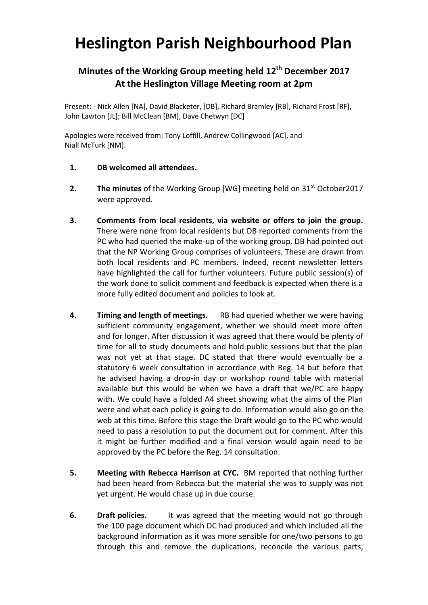## **Heslington Parish Neighbourhood Plan**

## **Minutes of the Working Group meeting held 12th December 2017 At the Heslington Village Meeting room at 2pm**

Present: - Nick Allen [NA], David Blacketer, [DB], Richard Bramley [RB], Richard Frost [RF], John Lawton [JL]; Bill McClean [BM], Dave Chetwyn [DC]

Apologies were received from: Tony Loffill, Andrew Collingwood [AC], and Niall McTurk [NM].

- **1. DB welcomed all attendees.**
- **2.** The minutes of the Working Group [WG] meeting held on 31<sup>st</sup> October2017 were approved.
- **3. Comments from local residents, via website or offers to join the group.**  There were none from local residents but DB reported comments from the PC who had queried the make-up of the working group. DB had pointed out that the NP Working Group comprises of volunteers. These are drawn from both local residents and PC members. Indeed, recent newsletter letters have highlighted the call for further volunteers. Future public session(s) of the work done to solicit comment and feedback is expected when there is a more fully edited document and policies to look at.
- **4. Timing and length of meetings.** RB had queried whether we were having sufficient community engagement, whether we should meet more often and for longer. After discussion it was agreed that there would be plenty of time for all to study documents and hold public sessions but that the plan was not yet at that stage. DC stated that there would eventually be a statutory 6 week consultation in accordance with Reg. 14 but before that he advised having a drop-in day or workshop round table with material available but this would be when we have a draft that we/PC are happy with. We could have a folded A4 sheet showing what the aims of the Plan were and what each policy is going to do. Information would also go on the web at this time. Before this stage the Draft would go to the PC who would need to pass a resolution to put the document out for comment. After this it might be further modified and a final version would again need to be approved by the PC before the Reg. 14 consultation.
- **5. Meeting with Rebecca Harrison at CYC.** BM reported that nothing further had been heard from Rebecca but the material she was to supply was not yet urgent. He would chase up in due course.
- **6. Draft policies.** It was agreed that the meeting would not go through the 100 page document which DC had produced and which included all the background information as it was more sensible for one/two persons to go through this and remove the duplications, reconcile the various parts,